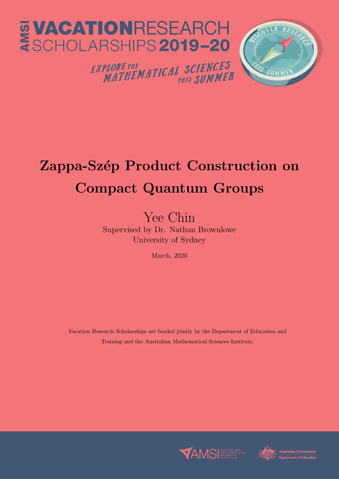

### Zappa-Szép Product Construction on Compact Quantum Groups

### Yee Chin Supervised by Dr. Nathan Brownlowe University of Sydney

March, 2020

Vacation Research Scholarships are funded jointly by the Department of Education and Training and the Australian Mathematical Sciences Institute.



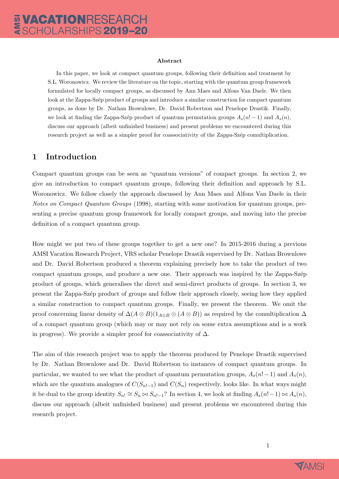#### Abstract

In this paper, we look at compact quantum groups, following their definition and treatment by S.L. Woronowicz. We review the literature on the topic, starting with the quantum group framework formulated for locally compact groups, as discussed by Ann Maes and Alfons Van Daele. We then look at the Zappa-Szép product of groups and introduce a similar construction for compact quantum groups, as done by Dr. Nathan Brownlowe, Dr. David Robertson and Penelope Drastik. Finally, we look at finding the Zappa-Szép product of quantum permutation groups  $A_s(n! - 1)$  and  $A_s(n)$ , discuss our approach (albeit unfinished business) and present problems we encountered during this research project as well as a simpler proof for coassociativity of the Zappa-Szép comultiplication.

#### 1 Introduction

Compact quantum groups can be seen as "quantum versions" of compact groups. In section 2, we give an introduction to compact quantum groups, following their definition and approach by S.L. Woronowicz. We follow closely the approach discussed by Ann Maes and Alfons Van Daele in their Notes on Compact Quantum Groups (1998), starting with some motivation for quantum groups, presenting a precise quantum group framework for locally compact groups, and moving into the precise definition of a compact quantum group.

How might we put two of these groups together to get a new one? In 2015-2016 during a previous AMSI Vacation Research Project, VRS scholar Penelope Drastik supervised by Dr. Nathan Brownlowe and Dr. David Robertson produced a theorem explaining precisely how to take the product of two compact quantum groups, and produce a new one. Their approach was inspired by the Zappa-Szép product of groups, which generalises the direct and semi-direct products of groups. In section 3, we present the Zappa-Sz´ep product of groups and follow their approach closely, seeing how they applied a similar construction to compact quantum groups. Finally, we present the theorem. We omit the proof concerning linear density of  $\Delta(A \otimes B)(1_{A \otimes B} \otimes (A \otimes B))$  as required by the comultiplication  $\Delta$ of a compact quantum group (which may or may not rely on some extra assumptions and is a work in progress). We provide a simpler proof for coassociativity of  $\Delta$ .

The aim of this research project was to apply the theorem produced by Penelope Drastik supervised by Dr. Nathan Brownlowe and Dr. David Robertson to instances of compact quantum groups. In particular, we wanted to see what the product of quantum permutation groups,  $A_s(n!-1)$  and  $A_s(n)$ , which are the quantum analogues of  $C(S_{n!-1})$  and  $C(S_n)$  respectively, looks like. In what ways might it be dual to the group identity  $S_{n!} \cong S_n \bowtie S_{n!-1}$ ? In section 4, we look at finding  $A_s(n!-1) \bowtie A_s(n)$ , discuss our approach (albeit unfinished business) and present problems we encountered during this research project.

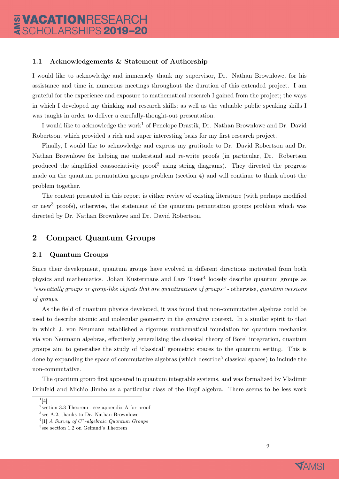#### 1.1 Acknowledgements & Statement of Authorship

I would like to acknowledge and immensely thank my supervisor, Dr. Nathan Brownlowe, for his assistance and time in numerous meetings throughout the duration of this extended project. I am grateful for the experience and exposure to mathematical research I gained from the project; the ways in which I developed my thinking and research skills; as well as the valuable public speaking skills I was taught in order to deliver a carefully-thought-out presentation.

I would like to acknowledge the work<sup>1</sup> of Penelope Drastik, Dr. Nathan Brownlowe and Dr. David Robertson, which provided a rich and super interesting basis for my first research project.

Finally, I would like to acknowledge and express my gratitude to Dr. David Robertson and Dr. Nathan Brownlowe for helping me understand and re-write proofs (in particular, Dr. Robertson produced the simplified coassociativity  $\text{proof}^2$  using string diagrams). They directed the progress made on the quantum permutation groups problem (section 4) and will continue to think about the problem together.

The content presented in this report is either review of existing literature (with perhaps modified or new<sub>3</sub> proofs), otherwise, the statement of the quantum permutation groups problem which was directed by Dr. Nathan Brownlowe and Dr. David Robertson.

#### 2 Compact Quantum Groups

#### 2.1 Quantum Groups

Since their development, quantum groups have evolved in different directions motivated from both physics and mathematics. Johan Kustermans and Lars Tuset<sup>4</sup> loosely describe quantum groups as "essentially groups or group-like objects that are quantizations of groups" - otherwise, quantum versions of groups.

As the field of quantum physics developed, it was found that non-commutative algebras could be used to describe atomic and molecular geometry in the *quantum* context. In a similar spirit to that in which J. von Neumann established a rigorous mathematical foundation for quantum mechanics via von Neumann algebras, effectively generalising the classical theory of Borel integration, quantum groups aim to generalise the study of 'classical' geometric spaces to the quantum setting. This is done by expanding the space of commutative algebras (which describe<sup>5</sup> classical spaces) to include the non-commutative.

The quantum group first appeared in quantum integrable systems, and was formalized by Vladimir Drinfeld and Michio Jimbo as a particular class of the Hopf algebra. There seems to be less work



 $^{1}[4]$ 

<sup>2</sup> section 3.3 Theorem - see appendix A for proof

<sup>3</sup> see A.2, thanks to Dr. Nathan Brownlowe

 $^{4}[1]$  A Survey of C<sup>\*</sup>-algebraic Quantum Groups

<sup>5</sup> see section 1.2 on Gelfand's Theorem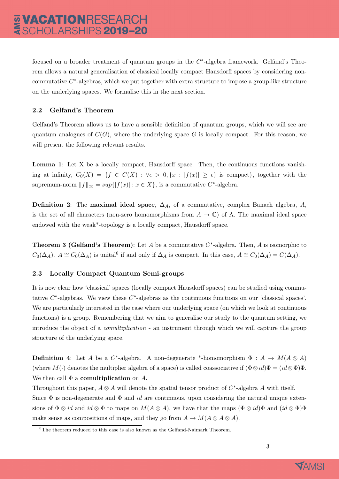focused on a broader treatment of quantum groups in the  $C^*$ -algebra framework. Gelfand's Theorem allows a natural generalisation of classical locally compact Hausdorff spaces by considering noncommutative  $C^*$ -algebras, which we put together with extra structure to impose a group-like structure on the underlying spaces. We formalise this in the next section.

#### 2.2 Gelfand's Theorem

Gelfand's Theorem allows us to have a sensible definition of quantum groups, which we will see are quantum analogues of  $C(G)$ , where the underlying space G is locally compact. For this reason, we will present the following relevant results.

Lemma 1: Let X be a locally compact, Hausdorff space. Then, the continuous functions vanishing at infinity,  $C_0(X) = \{f \in C(X) : \forall \epsilon > 0, \{x : |f(x)| \geq \epsilon\}$  is compact, together with the supremum-norm  $||f||_{\infty} = sup\{|f(x)| : x \in X\}$ , is a commutative C<sup>\*</sup>-algebra.

**Definition 2:** The **maximal ideal space**,  $\Delta_A$ , of a commutative, complex Banach algebra, A, is the set of all characters (non-zero homomorphisms from  $A \to \mathbb{C}$ ) of A. The maximal ideal space endowed with the weak\*-topology is a locally compact, Hausdorff space.

**Theorem 3 (Gelfand's Theorem)**: Let A be a commutative  $C^*$ -algebra. Then, A is isomorphic to  $C_0(\Delta_A)$ .  $A \cong C_0(\Delta_A)$  is unital<sup>6</sup> if and only if  $\Delta_A$  is compact. In this case,  $A \cong C_0(\Delta_A) = C(\Delta_A)$ .

#### 2.3 Locally Compact Quantum Semi-groups

It is now clear how 'classical' spaces (locally compact Hausdorff spaces) can be studied using commutative  $C^*$ -algebras. We view these  $C^*$ -algebras as the continuous functions on our 'classical spaces'. We are particularly interested in the case where our underlying space (on which we look at continuous functions) is a group. Remembering that we aim to generalise our study to the quantum setting, we introduce the object of a comultiplication - an instrument through which we will capture the group structure of the underlying space.

**Definition 4:** Let A be a C<sup>\*</sup>-algebra. A non-degenerate <sup>\*</sup>-homomorphism  $\Phi : A \to M(A \otimes A)$ (where  $M(\cdot)$  denotes the multiplier algebra of a space) is called coassociative if  $(\Phi \otimes id)\Phi = (id \otimes \Phi)\Phi$ . We then call  $\Phi$  a **comultiplication** on A.

Throughout this paper,  $A \otimes A$  will denote the spatial tensor product of  $C^*$ -algebra A with itself. Since  $\Phi$  is non-degenerate and  $\Phi$  and *id* are continuous, upon considering the natural unique extensions of  $\Phi \otimes id$  and  $id \otimes \Phi$  to maps on  $M(A \otimes A)$ , we have that the maps  $(\Phi \otimes id)\Phi$  and  $(id \otimes \Phi)\Phi$ make sense as compositions of maps, and they go from  $A \to M(A \otimes A \otimes A)$ .



<sup>&</sup>lt;sup>6</sup>The theorem reduced to this case is also known as the Gelfand-Naimark Theorem.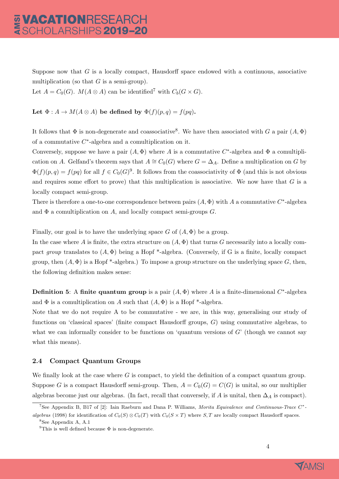Suppose now that  $G$  is a locally compact, Hausdorff space endowed with a continuous, associative multiplication (so that  $G$  is a semi-group).

Let  $A = C_0(G)$ .  $M(A \otimes A)$  can be identified<sup>7</sup> with  $C_b(G \times G)$ .

Let  $\Phi: A \to M(A \otimes A)$  be defined by  $\Phi(f)(p,q) = f(pq)$ .

It follows that  $\Phi$  is non-degenerate and coassociative<sup>8</sup>. We have then associated with G a pair  $(A, \Phi)$ of a commutative  $C^*$ -algebra and a comultiplication on it.

Conversely, suppose we have a pair  $(A, \Phi)$  where A is a commutative C<sup>\*</sup>-algebra and  $\Phi$  a comultiplication on A. Gelfand's theorem says that  $A \cong C_0(G)$  where  $G = \Delta_A$ . Define a multiplication on G by  $\Phi(f)(p,q) = f(pq)$  for all  $f \in C_0(G)^9$ . It follows from the coassociativity of  $\Phi$  (and this is not obvious and requires some effort to prove) that this multiplication is associative. We now have that  $G$  is a locally compact semi-group.

There is therefore a one-to-one correspondence between pairs  $(A, \Phi)$  with A a commutative  $C^*$ -algebra and  $\Phi$  a comultiplication on A, and locally compact semi-groups G.

Finally, our goal is to have the underlying space G of  $(A, \Phi)$  be a group.

In the case where A is finite, the extra structure on  $(A, \Phi)$  that turns G necessarily into a locally compact group translates to  $(A, \Phi)$  being a Hopf \*-algebra. (Conversely, if G is a finite, locally compact group, then  $(A, \Phi)$  is a Hopf \*-algebra.) To impose a group structure on the underlying space G, then, the following definition makes sense:

**Definition 5:** A finite quantum group is a pair  $(A, \Phi)$  where A is a finite-dimensional  $C^*$ -algebra and  $\Phi$  is a comultiplication on A such that  $(A, \Phi)$  is a Hopf \*-algebra.

Note that we do not require A to be commutative - we are, in this way, generalising our study of functions on 'classical spaces' (finite compact Hausdorff groups, G) using commutative algebras, to what we can informally consider to be functions on 'quantum versions of  $G'$  (though we cannot say what this means).

#### 2.4 Compact Quantum Groups

We finally look at the case where  $G$  is compact, to yield the definition of a compact quantum group. Suppose G is a compact Hausdorff semi-group. Then,  $A = C_0(G) = C(G)$  is unital, so our multiplier algebras become just our algebras. (In fact, recall that conversely, if A is unital, then  $\Delta_A$  is compact).



<sup>&</sup>lt;sup>7</sup>See Appendix B, B17 of [2]: Iain Raeburn and Dana P. Williams, Morita Equivalence and Continuous-Trace  $C^*$ algebras (1998) for identification of  $C_0(S) \otimes C_0(T)$  with  $C_0(S \times T)$  where  $S, T$  are locally compact Hausdorff spaces.

<sup>8</sup>See Appendix A, A.1

<sup>&</sup>lt;sup>9</sup>This is well defined because  $\Phi$  is non-degenerate.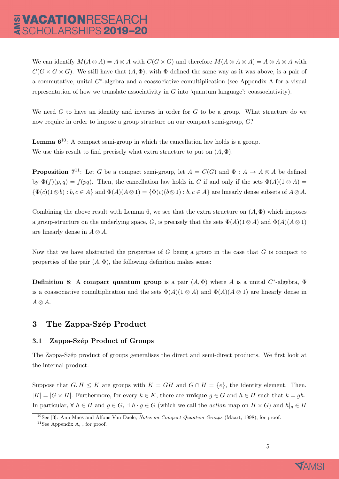We can identify  $M(A \otimes A) = A \otimes A$  with  $C(G \times G)$  and therefore  $M(A \otimes A \otimes A) = A \otimes A \otimes A$  with  $C(G \times G \times G)$ . We still have that  $(A, \Phi)$ , with  $\Phi$  defined the same way as it was above, is a pair of a commutative, unital  $C^*$ -algebra and a coassociative comultiplication (see Appendix A for a visual representation of how we translate associativity in  $G$  into 'quantum language': coassociativity).

We need  $G$  to have an identity and inverses in order for  $G$  to be a group. What structure do we now require in order to impose a group structure on our compact semi-group, G?

**Lemma**  $6^{10}$ **:** A compact semi-group in which the cancellation law holds is a group. We use this result to find precisely what extra structure to put on  $(A, \Phi)$ .

**Proposition 7**<sup>11</sup>: Let G be a compact semi-group, let  $A = C(G)$  and  $\Phi : A \to A \otimes A$  be defined by  $\Phi(f)(p,q) = f(pq)$ . Then, the cancellation law holds in G if and only if the sets  $\Phi(A)(1 \otimes A) =$  ${\Phi(c)(1\otimes b): b, c \in A}$  and  $\Phi(A)(A\otimes 1) = {\Phi(c)(b\otimes 1): b, c \in A}$  are linearly dense subsets of  $A\otimes A$ .

Combining the above result with Lemma 6, we see that the extra structure on  $(A, \Phi)$  which imposes a group-structure on the underlying space, G, is precisely that the sets  $\Phi(A)(1 \otimes A)$  and  $\Phi(A)(A \otimes 1)$ are linearly dense in  $A \otimes A$ .

Now that we have abstracted the properties of  $G$  being a group in the case that  $G$  is compact to properties of the pair  $(A, \Phi)$ , the following definition makes sense:

**Definition 8:** A compact quantum group is a pair  $(A, \Phi)$  where A is a unital C<sup>\*</sup>-algebra,  $\Phi$ is a coassociative comultiplication and the sets  $\Phi(A)(1 \otimes A)$  and  $\Phi(A)(A \otimes 1)$  are linearly dense in  $A \otimes A$ .

#### 3 The Zappa-Szép Product

#### 3.1 Zappa-Szép Product of Groups

The Zappa-Szép product of groups generalises the direct and semi-direct products. We first look at the internal product.

Suppose that  $G, H \leq K$  are groups with  $K = GH$  and  $G \cap H = \{e\}$ , the identity element. Then,  $|K| = |G \times H|$ . Furthermore, for every  $k \in K$ , there are **unique**  $q \in G$  and  $h \in H$  such that  $k = qh$ . In particular,  $\forall h \in H$  and  $g \in G$ ,  $\exists h \cdot g \in G$  (which we call the *action* map on  $H \times G$ ) and  $h|_g \in H$ 



<sup>&</sup>lt;sup>10</sup>See [3]: Ann Maes and Alfons Van Daele, Notes on Compact Quantum Groups (Maart, 1998), for proof.

 $11$ See Appendix A, , for proof.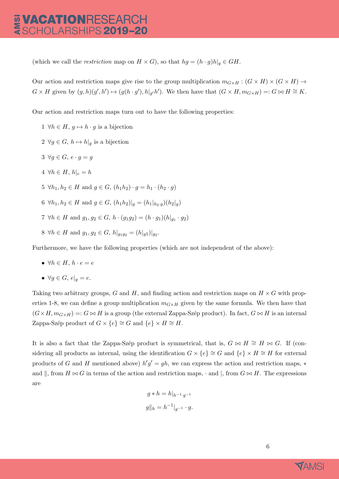(which we call the *restriction* map on  $H \times G$ ), so that  $hg = (h \cdot g)h|_g \in GH$ .

Our action and restriction maps give rise to the group multiplication  $m_{G\times H} : (G \times H) \times (G \times H) \rightarrow$  $G \times H$  given by  $(g, h)(g', h') \mapsto (g(h \cdot g'), h|_{g'}h')$ . We then have that  $(G \times H, m_{G \times H}) =: G \bowtie H \cong K$ .

Our action and restriction maps turn out to have the following properties:

 $1 \forall h \in H, q \mapsto h \cdot q$  is a bijection  $2 \ \forall g \in G, h \mapsto h|_q$  is a bijection  $3 \ \forall q \in G, e \cdot q = q$  $4 \forall h \in H, h|_{e} = h$ 5  $\forall h_1, h_2 \in H$  and  $q \in G$ ,  $(h_1h_2) \cdot q = h_1 \cdot (h_2 \cdot q)$ 6  $\forall h_1, h_2 \in H$  and  $q \in G$ ,  $(h_1h_2)|_q = (h_1|_{h_2\cdot q})(h_2|_q)$ 7  $\forall h \in H$  and  $g_1, g_2 \in G$ ,  $h \cdot (g_1 g_2) = (h \cdot g_1)(h|_{g_1} \cdot g_2)$ 8  $\forall h \in H$  and  $g_1, g_2 \in G$ ,  $h|_{g_1g_2} = (h|_{g_1})|_{g_2}$ .

Furthermore, we have the following properties (which are not independent of the above):

- $\forall h \in H, h \cdot e = e$
- $\forall g \in G, e|_q = e$ .

Taking two arbitrary groups, G and H, and finding action and restriction maps on  $H \times G$  with properties 1-8, we can define a group multiplication  $m_{G\times H}$  given by the same formula. We then have that  $(G \times H, m_{G \times H}) =: G \bowtie H$  is a group (the external Zappa-Szép product). In fact,  $G \bowtie H$  is an internal Zappa-Szép product of  $G \times \{e\} \cong G$  and  $\{e\} \times H \cong H$ .

It is also a fact that the Zappa-Szép product is symmetrical, that is,  $G \bowtie H \cong H \bowtie G$ . If (considering all products as internal, using the identification  $G \times \{e\} \cong G$  and  $\{e\} \times H \cong H$  for external products of G and H mentioned above)  $h'g' = gh$ , we can express the action and restriction maps, \* and  $\parallel$ , from  $H \bowtie G$  in terms of the action and restriction maps,  $\cdot$  and  $\parallel$ , from  $G \bowtie H$ . The expressions are

$$
g * h = h|_{h^{-1} \cdot g^{-1}}
$$

$$
g||_h = h^{-1}|_{g^{-1}} \cdot g.
$$

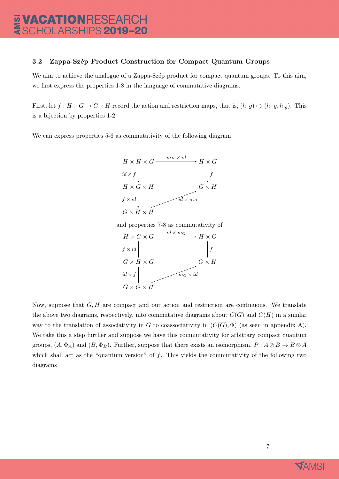#### 3.2 Zappa-Szép Product Construction for Compact Quantum Groups

We aim to achieve the analogue of a Zappa-Szép product for compact quantum groups. To this aim, we first express the properties 1-8 in the language of commutative diagrams.

First, let  $f : H \times G \to G \times H$  record the action and restriction maps, that is,  $(h, g) \mapsto (h \cdot g, h|_g)$ . This is a bijection by properties 1-2.

We can express properties 5-6 as commutativity of the following diagram



and properties 7-8 as commutativity of



Now, suppose that  $G, H$  are compact and our action and restriction are continuous. We translate the above two diagrams, respectively, into commutative diagrams about  $C(G)$  and  $C(H)$  in a similar way to the translation of associativity in G to coassociativity in  $(C(G), \Phi)$  (as seen in appendix A). We take this a step further and suppose we have this commutativity for arbitrary compact quantum groups,  $(A, \Phi_A)$  and  $(B, \Phi_B)$ . Further, suppose that there exists an isomorphism,  $P : A \otimes B \to B \otimes A$ which shall act as the "quantum version" of  $f$ . This yields the commutativity of the following two diagrams

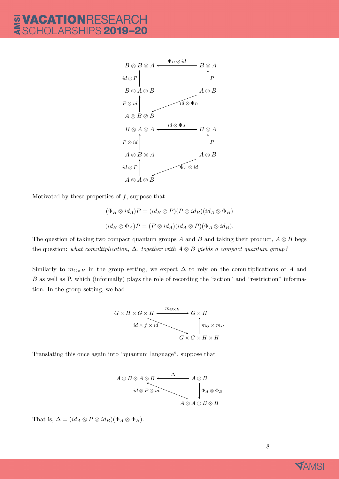### **VACATIONRESEARCH<br>SCHOLARSHIPS 2019-20**



Motivated by these properties of  $f$ , suppose that

$$
(\Phi_B \otimes id_A)P = (id_B \otimes P)(P \otimes id_B)(id_A \otimes \Phi_B)
$$
  

$$
(id_B \otimes \Phi_A)P = (P \otimes id_A)(id_A \otimes P)(\Phi_A \otimes id_B).
$$

The question of taking two compact quantum groups A and B and taking their product,  $A \otimes B$  begs the question: what comultiplication,  $\Delta$ , together with  $A \otimes B$  yields a compact quantum group?

Similarly to  $m_{G\times H}$  in the group setting, we expect  $\Delta$  to rely on the comultiplications of A and B as well as P, which (informally) plays the role of recording the "action" and "restriction" information. In the group setting, we had

$$
G \times H \times G \times H \xrightarrow{m_{G \times H}} G \times H
$$
  

$$
id \times f \times id \qquad \qquad \downarrow m_G \times m_H
$$
  

$$
G \times G \times H \times H
$$

Translating this once again into "quantum language", suppose that



That is,  $\Delta = (id_A \otimes P \otimes id_B)(\Phi_A \otimes \Phi_B).$ 

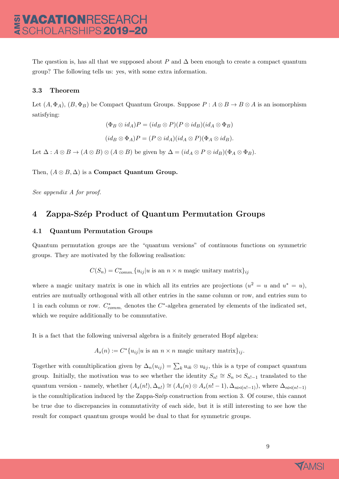The question is, has all that we supposed about P and  $\Delta$  been enough to create a compact quantum group? The following tells us: yes, with some extra information.

#### 3.3 Theorem

Let  $(A, \Phi_A), (B, \Phi_B)$  be Compact Quantum Groups. Suppose  $P : A \otimes B \to B \otimes A$  is an isomorphism satisfying:

$$
(\Phi_B \otimes id_A)P = (id_B \otimes P)(P \otimes id_B)(id_A \otimes \Phi_B)
$$
  

$$
(id_B \otimes \Phi_A)P = (P \otimes id_A)(id_A \otimes P)(\Phi_A \otimes id_B).
$$

Let  $\Delta: A \otimes B \to (A \otimes B) \otimes (A \otimes B)$  be given by  $\Delta = (id_A \otimes P \otimes id_B)(\Phi_A \otimes \Phi_B)$ .

Then,  $(A \otimes B, \Delta)$  is a **Compact Quantum Group.** 

See appendix A for proof.

#### 4 Zappa-Szép Product of Quantum Permutation Groups

#### 4.1 Quantum Permutation Groups

Quantum permutation groups are the "quantum versions" of continuous functions on symmetric groups. They are motivated by the following realisation:

 $C(S_n) = C^*_{comm.} \{u_{ij} | u \text{ is an } n \times n \text{ magic unitary matrix}\}_{ij}$ 

where a magic unitary matrix is one in which all its entries are projections  $(u^2 = u$  and  $u^* = u)$ , entries are mutually orthogonal with all other entries in the same column or row, and entries sum to 1 in each column or row.  $C^*_{comm.}$  denotes the  $C^*$ -algebra generated by elements of the indicated set, which we require additionally to be commutative.

It is a fact that the following universal algebra is a finitely generated Hopf algebra:

 $A_s(n) := C^* \{u_{ij} | u \text{ is an } n \times n \text{ magic unitary matrix}\}_{ij}.$ 

Together with comultiplication given by  $\Delta_n(u_{ij}) = \sum_k u_{ik} \otimes u_{kj}$ , this is a type of compact quantum group. Initially, the motivation was to see whether the identity  $S_{n!} \cong S_n \bowtie S_{n!-1}$  translated to the quantum version - namely, whether  $(A_s(n!), \Delta_{n!}) \cong (A_s(n) \otimes A_s(n! - 1), \Delta_{n \bowtie (n! - 1)})$ , where  $\Delta_{n \bowtie (n! - 1)}$ is the comultiplication induced by the Zappa-Sz $\acute{e}p$  construction from section 3. Of course, this cannot be true due to discrepancies in commutativity of each side, but it is still interesting to see how the result for compact quantum groups would be dual to that for symmetric groups.

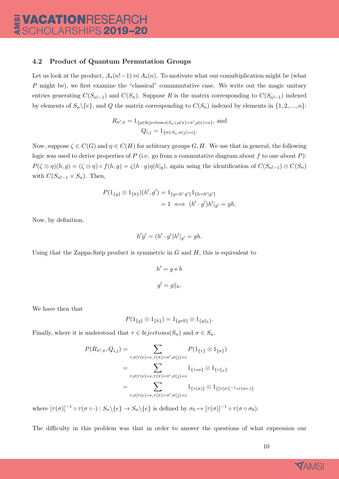#### 4.2 Product of Quantum Permutation Groups

Let us look at the product,  $A_s(n!-1) \bowtie A_s(n)$ . To motivate what our comultiplication might be (what P might be), we first examine the "classical" commmutative case. We write out the magic unitary entries generating  $C(S_{n!-1})$  and  $C(S_n)$ . Suppose R is the matrix corresponding to  $C(S_{n!-1})$  indexed by elements of  $S_n \setminus \{e\}$ , and Q the matrix corresponding to  $C(S_n)$  indexed by elements in  $\{1, 2, ..., n\}$ :

$$
R_{\pi',\pi} = 1_{\{\rho \in bijections(S_n): \rho(\pi) = \pi', \rho(e) = e\}}, \text{ and}
$$
  

$$
Q_{i,j} = 1_{\{\sigma \in S_n: \sigma(j) = i\}}.
$$

Now, suppose  $\zeta \in C(G)$  and  $\eta \in C(H)$  for arbitrary groups G, H. We use that in general, the following logic was used to derive properties of  $P$  (i.e. go from a commutative diagram about  $f$  to one about  $P$ ):  $P(\zeta \otimes \eta)(h,g) = (\zeta \otimes \eta) \circ f(h,g) = \zeta(h \cdot g)\eta(h|_g)$ , again using the identification of  $C(S_{n!-1}) \otimes C(S_n)$ with  $C(S_{n!-1} \times S_n)$ . Then,

$$
P(1_{\{g\}} \otimes 1_{\{h\}})(h', g') = 1_{\{g = h' \cdot g'\}} 1_{\{h = h'|g'\}}
$$
  
= 1  $\iff (h' \cdot g')h'|_{g'} = gh.$ 

Now, by definition,

$$
h'g' = (h' \cdot g')h'|_{g'} = gh.
$$

Using that the Zappa-Szép product is symmetric in  $G$  and  $H$ , this is equivalent to

$$
h' = g * h
$$

$$
g' = g||_h.
$$

We have then that

$$
P(1_{\{g\}} \otimes 1_{\{h\}}) = 1_{\{g*h\}} \otimes 1_{\{g||_h\}}.
$$

Finally, where it is understood that  $\tau \in bijections(S_n)$  and  $\sigma \in S_n$ ,

$$
P(R_{\pi',\pi}, Q_{i,j}) = \sum_{\tau,\sigma|\tau(e)=e,\tau(\pi)=\pi',\sigma(j)=i} P(1_{\{\tau\}} \otimes 1_{\{\sigma\}})
$$
  

$$
= \sum_{\tau,\sigma|\tau(e)=e,\tau(\pi)=\pi',\sigma(j)=i} 1_{\{\tau*\sigma\}} \otimes 1_{\{\tau\|\sigma\}}
$$
  

$$
= \sum_{\tau,\sigma|\tau(e)=e,\tau(\pi)=\pi',\sigma(j)=i} 1_{\{\tau(\sigma)\}} \otimes 1_{\{\tau(\sigma)\}^{-1} \circ \tau(\sigma \circ \cdot)\}}
$$

where  $[\tau(\sigma)]^{-1} \circ \tau(\sigma \circ \cdot) : S_n \setminus \{e\} \to S_n \setminus \{e\}$  is defined by  $\sigma_0 \mapsto [\tau(\sigma)]^{-1} \circ \tau(\sigma \circ \sigma_0)$ .

The difficulty in this problem was that in order to answer the questions of what expression our

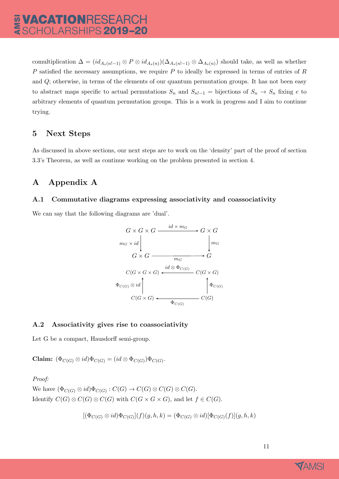comultiplication  $\Delta = (id_{A_s(n!-1)} \otimes P \otimes id_{A_s(n)})(\Delta_{A_s(n!-1)} \otimes \Delta_{A_s(n)})$  should take, as well as whether P satisfied the necessary assumptions, we require  $P$  to ideally be expressed in terms of entries of  $R$ and Q; otherwise, in terms of the elements of our quantum permutation groups. It has not been easy to abstract maps specific to actual permutations  $S_n$  and  $S_{n-1}$  = bijections of  $S_n \to S_n$  fixing e to arbitrary elements of quantum permutation groups. This is a work in progress and I aim to continue trying.

#### 5 Next Steps

As discussed in above sections, our next steps are to work on the 'density' part of the proof of section 3.3's Theorem, as well as continue working on the problem presented in section 4.

#### A Appendix A

#### A.1 Commutative diagrams expressing associativity and coassociativity

We can say that the following diagrams are 'dual'.



#### A.2 Associativity gives rise to coassociativity

Let G be a compact, Hausdorff semi-group.

Claim:  $(\Phi_{C(G)} \otimes id) \Phi_{C(G)} = (id \otimes \Phi_{C(G)}) \Phi_{C(G)}$ .

Proof:

We have  $(\Phi_{C(G)} \otimes id) \Phi_{C(G)} : C(G) \to C(G) \otimes C(G) \otimes C(G)$ . Identify  $C(G) \otimes C(G) \otimes C(G)$  with  $C(G \times G \times G)$ , and let  $f \in C(G)$ .

$$
[(\Phi_{C(G)} \otimes id)\Phi_{C(G)}](f)(g,h,k) = (\Phi_{C(G)} \otimes id)[\Phi_{C(G)}(f)](g,h,k)
$$

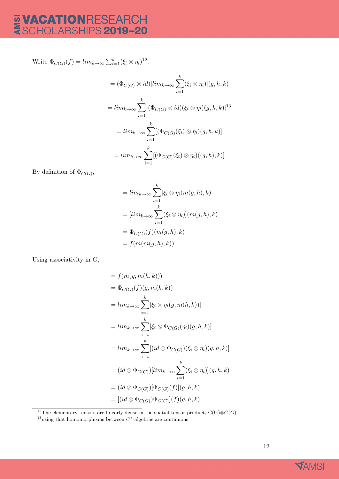# E VACATIONRESEARCH

Write  $\Phi_{C(G)}(f) = \lim_{k \to \infty} \sum_{i=1}^{k} (\xi_i \otimes \eta_i)^{12}$ .

$$
= (\Phi_{C(G)} \otimes id)[\lim_{k \to \infty} \sum_{i=1}^{k} (\xi_i \otimes \eta_i)](g, h, k)
$$
  

$$
= \lim_{k \to \infty} \sum_{i=1}^{k} [(\Phi_{C(G)} \otimes id)(\xi_i \otimes \eta_i)(g, h, k)]^{13}
$$
  

$$
= \lim_{k \to \infty} \sum_{i=1}^{k} [(\Phi_{C(G)}(\xi_i) \otimes \eta_i)(g, h, k)]
$$
  

$$
= \lim_{k \to \infty} \sum_{i=1}^{k} [(\Phi_{C(G)}(\xi_i) \otimes \eta_i)((g, h), k)]
$$

By definition of  $\Phi_{C(G)}$ ,

$$
= lim_{k \to \infty} \sum_{i=1}^{k} [\xi_i \otimes \eta_i(m(g, h), k)]
$$
  

$$
= [lim_{k \to \infty} \sum_{i=1}^{k} (\xi_i \otimes \eta_i)](m(g, h), k)
$$
  

$$
= \Phi_{C(G)}(f)(m(g, h), k)
$$
  

$$
= f(m(m(g, h), k))
$$

Using associativity in  $G$ ,

$$
= f(m(g, m(h, k)))
$$
  
\n
$$
= \Phi_{C(G)}(f)(g, m(h, k))
$$
  
\n
$$
= lim_{k\to\infty} \sum_{i=1}^{k} [\xi_i \otimes \eta_i(g, m(h, k))]
$$
  
\n
$$
= lim_{k\to\infty} \sum_{i=1}^{k} [\xi_i \otimes \Phi_{C(G)}(\eta_i)(g, h, k)]
$$
  
\n
$$
= lim_{k\to\infty} \sum_{i=1}^{k} [(id \otimes \Phi_{C(G)})(\xi_i \otimes \eta_i)(g, h, k)]
$$
  
\n
$$
= (id \otimes \Phi_{C(G)})[lim_{k\to\infty} \sum_{i=1}^{k} (\xi_i \otimes \eta_i)](g, h, k)
$$
  
\n
$$
= (id \otimes \Phi_{C(G)})[\Phi_{C(G)}(f)](g, h, k)
$$
  
\n
$$
= [(id \otimes \Phi_{C(G)})\Phi_{C(G)}](f)(g, h, k)
$$

<sup>12</sup>The elementary tensors are linearly dense in the spatial tensor product, C(G)⊗C(G)



<sup>&</sup>lt;sup>13</sup>using that homomorphisms between  $C^*$ -algebras are continuous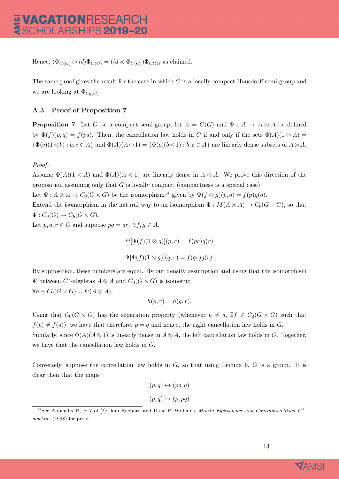Hence,  $(\Phi_{C(G)} \otimes id) \Phi_{C(G)} = (id \otimes \Phi_{C(G)}) \Phi_{C(G)}$  as claimed.

The same proof gives the result for the case in which G is a locally compact Hausdorff semi-group and we are looking at  $\Phi_{C_0(G)}$ .

#### A.3 Proof of Proposition 7

**Proposition 7:** Let G be a compact semi-group, let  $A = C(G)$  and  $\Phi : A \to A \otimes A$  be defined by  $\Phi(f)(p,q) = f(pq)$ . Then, the cancellation law holds in G if and only if the sets  $\Phi(A)(1 \otimes A) =$  ${\Phi(c)(1\otimes b): b, c \in A}$  and  $\Phi(A)(A\otimes 1) = {\Phi(c)(b\otimes 1): b, c \in A}$  are linearly dense subsets of  $A\otimes A$ .

#### Proof:

Assume  $\Phi(A)(1 \otimes A)$  and  $\Phi(A)(A \otimes 1)$  are linearly dense in  $A \otimes A$ . We prove this direction of the proposition assuming only that  $G$  is locally compact (compactness is a special case).

Let  $\Psi : A \otimes A \to C_0(G \times G)$  be the isomorphism<sup>14</sup> given by  $\Psi(f \otimes g)(p, q) = f(p)g(q)$ .

Extend the isomorphism in the natural way to an isomorphism  $\Psi : M(A \otimes A) \to C_b(G \times G)$ , so that  $\Phi: C_0(G) \to C_b(G \times G).$ 

Let  $p, q, r \in G$  and suppose  $pq = qr$ .  $\forall f, g \in A$ ,

$$
\Psi[\Phi(f)(1 \otimes g)](p,r) = f(pr)g(r)
$$
  

$$
\Psi[\Phi(f)(1 \otimes g)](q,r) = f(qr)g(r).
$$

By supposition, these numbers are equal. By our density assumption and using that the isomorphism  $\Psi$  between  $C^*$ -algebras  $A \otimes A$  and  $C_0(G \times G)$  is isometric,  $\forall h \in C_0(G \times G) = \Psi(A \otimes A),$ 

$$
h(p,r) = h(q,r).
$$

Using that  $C_0(G \times G)$  has the separation property (whenever  $p \neq q$ ,  $\exists f \in C_0(G \times G)$  such that  $f(p) \neq f(q)$ , we have that therefore,  $p = q$  and hence, the right cancellation law holds in G. Similarly, since  $\Phi(A)(A \otimes 1)$  is linearly dense in  $A \otimes A$ , the left cancellation law holds in G. Together,

we have that the cancellation law holds in G.

Conversely, suppose the cancellation law holds in  $G$ , so that using Lemma 6,  $G$  is a group. It is clear then that the maps

$$
(p,q) \mapsto (pq,q)
$$

$$
(p,q) \mapsto (p,pq)
$$



<sup>&</sup>lt;sup>14</sup>See Appendix B, B17 of [2]: Iain Raeburn and Dana P. Williams, *Morita Equivalence and Continuous-Trace*  $C^*$ algebras (1998) for proof.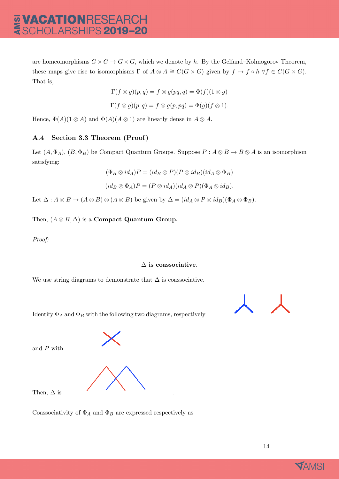are homeomorphisms  $G \times G \to G \times G$ , which we denote by h. By the Gelfand–Kolmogorov Theorem, these maps give rise to isomorphisms  $\Gamma$  of  $A \otimes A \cong C(G \times G)$  given by  $f \mapsto f \circ h \ \forall f \in C(G \times G)$ . That is,

$$
\Gamma(f \otimes g)(p,q) = f \otimes g(pq,q) = \Phi(f)(1 \otimes g)
$$

$$
\Gamma(f \otimes g)(p,q) = f \otimes g(p,pq) = \Phi(g)(f \otimes 1).
$$

Hence,  $\Phi(A)(1 \otimes A)$  and  $\Phi(A)(A \otimes 1)$  are linearly dense in  $A \otimes A$ .

#### A.4 Section 3.3 Theorem (Proof)

Let  $(A, \Phi_A), (B, \Phi_B)$  be Compact Quantum Groups. Suppose  $P : A \otimes B \to B \otimes A$  is an isomorphism satisfying:

$$
(\Phi_B \otimes id_A)P = (id_B \otimes P)(P \otimes id_B)(id_A \otimes \Phi_B)
$$
  

$$
(id_B \otimes \Phi_A)P = (P \otimes id_A)(id_A \otimes P)(\Phi_A \otimes id_B).
$$

Let  $\Delta: A \otimes B \to (A \otimes B) \otimes (A \otimes B)$  be given by  $\Delta = (id_A \otimes P \otimes id_B)(\Phi_A \otimes \Phi_B)$ .

Then,  $(A \otimes B, \Delta)$  is a Compact Quantum Group.

Proof:

#### $\Delta$  is coassociative.

We use string diagrams to demonstrate that  $\Delta$  is coassociative.



Identify  $\Phi_A$  and  $\Phi_B$  with the following two diagrams, respectively

and  $P$  with



Then,  $\Delta$  is

Coassociativity of  $\Phi_A$  and  $\Phi_B$  are expressed respectively as

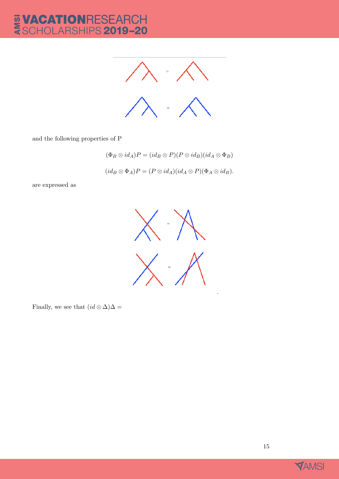## E VACATIONRESEARCH



and the following properties of P

 $(\Phi_B \otimes id_A)P = (id_B \otimes P)(P \otimes id_B)(id_A \otimes \Phi_B)$ 

 $(id_B \otimes \Phi_A)P = (P \otimes id_A)(id_A \otimes P)(\Phi_A \otimes id_B).$ 

are expressed as



.

Finally, we see that  $(id \otimes \Delta)\Delta =$ 

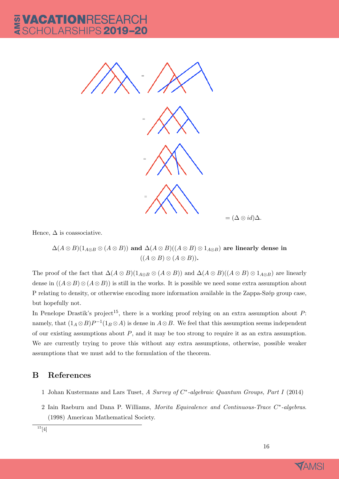## **CATIONRESEARCH**<br>HOLARSHIPS **2019–20**



Hence,  $\Delta$  is coassociative.

 $\Delta(A \otimes B)(1_{A \otimes B} \otimes (A \otimes B))$  and  $\Delta(A \otimes B)((A \otimes B) \otimes 1_{A \otimes B})$  are linearly dense in  $((A \otimes B) \otimes (A \otimes B)).$ 

The proof of the fact that  $\Delta(A \otimes B)(1_{A \otimes B} \otimes (A \otimes B))$  and  $\Delta(A \otimes B)((A \otimes B) \otimes 1_{A \otimes B})$  are linearly dense in  $((A \otimes B) \otimes (A \otimes B))$  is still in the works. It is possible we need some extra assumption about P relating to density, or otherwise encoding more information available in the Zappa-Szép group case, but hopefully not.

In Penelope Drastik's project<sup>15</sup>, there is a working proof relying on an extra assumption about  $P$ : namely, that  $(1_A \otimes B)P^{-1}(1_B \otimes A)$  is dense in  $A \otimes B$ . We feel that this assumption seems independent of our existing assumptions about P, and it may be too strong to require it as an extra assumption. We are currently trying to prove this without any extra assumptions, otherwise, possible weaker assumptions that we must add to the formulation of the theorem.

#### B References

- 1 Johan Kustermans and Lars Tuset, A Survey of C<sup>\*</sup>-algebraic Quantum Groups, Part I (2014)
- 2 Iain Raeburn and Dana P. Williams, Morita Equivalence and Continuous-Trace C<sup>\*</sup>-algebras. (1998) American Mathematical Society.

 $\overline{^{15}}[4]$